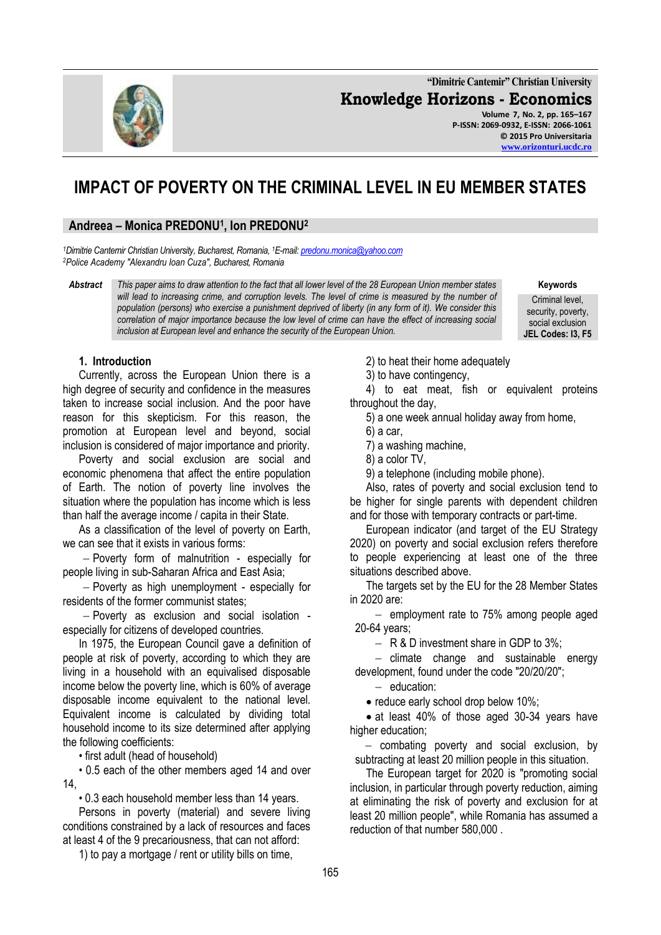**"Dimitrie Cantemir" Christian University Knowledge Horizons - Economics Volume 7, No. 2, pp. 165–167 P-ISSN: 2069-0932, E-ISSN: 2066-1061 © 2015 Pro Universitaria**

# **IMPACT OF POVERTY ON THE CRIMINAL LEVEL IN EU MEMBER STATES**

# **Andreea – Monica PREDONU<sup>1</sup> , Ion PREDONU<sup>2</sup>**

*<sup>1</sup>Dimitrie Cantemir Christian University, Bucharest, Romania, <sup>1</sup>E-mail[: predonu.monica@yahoo.com](mailto:predonu.monica@yahoo.com) <sup>2</sup>Police Academy "Alexandru Ioan Cuza", Bucharest, Romania*

*Abstract This paper aims to draw attention to the fact that all lower level of the 28 European Union member states*  will lead to increasing crime, and corruption levels. The level of crime is measured by the number of *population (persons) who exercise a punishment deprived of liberty (in any form of it). We consider this correlation of major importance because the low level of crime can have the effect of increasing social inclusion at European level and enhance the security of the European Union.*

**Keywords** Criminal level, security, poverty,

social exclusion **JEL Codes: I3, F5**

## **1. Introduction**

Currently, across the European Union there is a high degree of security and confidence in the measures taken to increase social inclusion. And the poor have reason for this skepticism. For this reason, the promotion at European level and beyond, social inclusion is considered of major importance and priority.

Poverty and social exclusion are social and economic phenomena that affect the entire population of Earth. The notion of poverty line involves the situation where the population has income which is less than half the average income / capita in their State.

As a classification of the level of poverty on Earth, we can see that it exists in various forms:

 Poverty form of malnutrition - especially for people living in sub-Saharan Africa and East Asia;

- Poverty as high unemployment - especially for residents of the former communist states;

 Poverty as exclusion and social isolation especially for citizens of developed countries.

In 1975, the European Council gave a definition of people at risk of poverty, according to which they are living in a household with an equivalised disposable income below the poverty line, which is 60% of average disposable income equivalent to the national level. Equivalent income is calculated by dividing total household income to its size determined after applying the following coefficients:

• first adult (head of household)

• 0.5 each of the other members aged 14 and over 14,

• 0.3 each household member less than 14 years.

Persons in poverty (material) and severe living conditions constrained by a lack of resources and faces at least 4 of the 9 precariousness, that can not afford:

1) to pay a mortgage / rent or utility bills on time,

2) to heat their home adequately

3) to have contingency,

4) to eat meat, fish or equivalent proteins throughout the day,

5) a one week annual holiday away from home,

6) a car,

7) a washing machine,

8) a color TV,

9) a telephone (including mobile phone).

Also, rates of poverty and social exclusion tend to be higher for single parents with dependent children and for those with temporary contracts or part-time.

European indicator (and target of the EU Strategy 2020) on poverty and social exclusion refers therefore to people experiencing at least one of the three situations described above.

The targets set by the EU for the 28 Member States in 2020 are:

 $-$  employment rate to 75% among people aged 20-64 years;

 $-$  R & D investment share in GDP to 3%;

 $-$  climate change and sustainable energy development, found under the code "20/20/20";

 $-$  education:

• reduce early school drop below 10%;

• at least 40% of those aged 30-34 years have higher education;

- combating poverty and social exclusion, by subtracting at least 20 million people in this situation.

The European target for 2020 is "promoting social inclusion, in particular through poverty reduction, aiming at eliminating the risk of poverty and exclusion for at least 20 million people", while Romania has assumed a reduction of that number 580,000 .

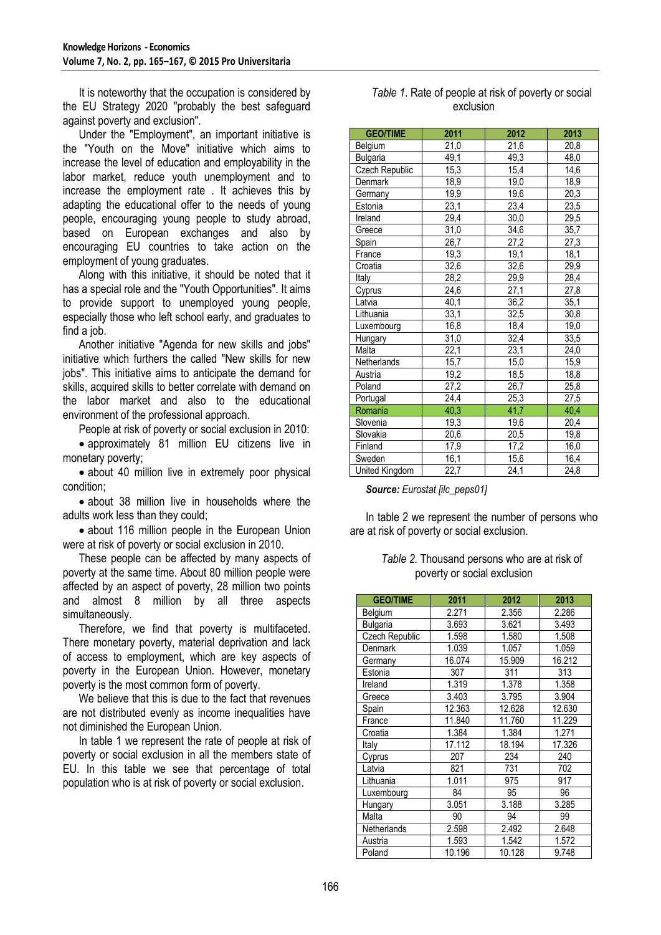It is noteworthy that the occupation is considered by the EU Strategy 2020 "probably the best safeguard against poverty and exclusion".

Under the "Employment", an important initiative is the "Youth on the Move" initiative which aims to increase the level of education and employability in the labor market, reduce youth unemployment and to increase the employment rate . It achieves this by adapting the educational offer to the needs of young people, encouraging young people to study abroad, based on European exchanges and also by encouraging EU countries to take action on the employment of young graduates.

Along with this initiative, it should be noted that it has a special role and the "Youth Opportunities". It aims to provide support to unemployed young people, especially those who left school early, and graduates to find a job.

Another initiative "Agenda for new skills and jobs" initiative which furthers the called "New skills for new jobs". This initiative aims to anticipate the demand for skills, acquired skills to better correlate with demand on the labor market and also to the educational environment of the professional approach.

People at risk of poverty or social exclusion in 2010:

 approximately 81 million EU citizens live in monetary poverty;

• about 40 million live in extremely poor physical condition;

• about 38 million live in households where the adults work less than they could;

• about 116 million people in the European Union were at risk of poverty or social exclusion in 2010.

These people can be affected by many aspects of poverty at the same time. About 80 million people were affected by an aspect of poverty, 28 million two points and almost 8 million by all three aspects simultaneously.

Therefore, we find that poverty is multifaceted. There monetary poverty, material deprivation and lack of access to employment, which are key aspects of poverty in the European Union. However, monetary poverty is the most common form of poverty.

We believe that this is due to the fact that revenues are not distributed evenly as income inequalities have not diminished the European Union.

In table 1 we represent the rate of people at risk of poverty or social exclusion in all the members state of EU. In this table we see that percentage of total population who is at risk of poverty or social exclusion.

| Table 1. Rate of people at risk of poverty or social |
|------------------------------------------------------|
| exclusion                                            |

| <b>GEO/TIME</b>    | 2011              | 2012 | 2013              |
|--------------------|-------------------|------|-------------------|
| Belgium            | 21,0              | 21,6 | 20,8              |
| <b>Bulgaria</b>    | 49,1              | 49,3 | 48,0              |
| Czech Republic     | 15,3              | 15,4 | 14,6              |
| Denmark            | 18,9              | 19,0 | 18,9              |
| Germany            | 19,9              | 19,6 | $\overline{20,3}$ |
| Estonia            | 23,1              | 23,4 | 23,5              |
| Ireland            | $\overline{29,4}$ | 30,0 | 29,5              |
| Greece             | 31,0              | 34,6 | 35,7              |
| Spain              | 26,7              | 27,2 | 27,3              |
| France             | 19,3              | 19,1 | 18,1              |
| Croatia            | 32,6              | 32,6 | 29,9              |
| Italy              | 28,2              | 29,9 | 28,4              |
| Cyprus             | 24,6              | 27,1 | 27,8              |
| Latvia             | 40,1              | 36,2 | 35,1              |
| Lithuania          | 33,1              | 32,5 | 30,8              |
| Luxembourg         | 16,8              | 18,4 | 19,0              |
| Hungary            | 31,0              | 32,4 | 33,5              |
| Malta              | 22,1              | 23,1 | 24,0              |
| <b>Netherlands</b> | 15,7              | 15,0 | 15,9              |
| Austria            | 19,2              | 18,5 | 18,8              |
| Poland             | 27,2              | 26,7 | 25,8              |
| Portugal           | 24,4              | 25,3 | 27,5              |
| Romania            | 40,3              | 41,7 | 40,4              |
| Slovenia           | 19,3              | 19,6 | 20,4              |
| Slovakia           | 20,6              | 20,5 | 19,8              |
| Finland            | 17,9              | 17,2 | 16,0              |
| Sweden             | 16,1              | 15,6 | 16,4              |
| United Kingdom     | 22,7              | 24,1 | 24,8              |

*Source: Eurostat [ilc\_peps01]*

In table 2 we represent the number of persons who are at risk of poverty or social exclusion.

*Table 2.* Thousand persons who are at risk of poverty or social exclusion

| <b>GEO/TIME</b> | 2011   | 2012   | 2013   |
|-----------------|--------|--------|--------|
| Belgium         | 2.271  | 2.356  | 2.286  |
| Bulgaria        | 3.693  | 3.621  | 3.493  |
| Czech Republic  | 1.598  | 1.580  | 1.508  |
| <b>Denmark</b>  | 1.039  | 1.057  | 1.059  |
| Germany         | 16.074 | 15.909 | 16.212 |
| Estonia         | 307    | 311    | 313    |
| Ireland         | 1.319  | 1.378  | 1.358  |
| Greece          | 3.403  | 3.795  | 3.904  |
| Spain           | 12.363 | 12.628 | 12.630 |
| France          | 11.840 | 11.760 | 11.229 |
| Croatia         | 1.384  | 1.384  | 1.271  |
| Italy           | 17.112 | 18.194 | 17.326 |
| Cyprus          | 207    | 234    | 240    |
| Latvia          | 821    | 731    | 702    |
| Lithuania       | 1.011  | 975    | 917    |
| Luxembourg      | 84     | 95     | 96     |
| Hungary         | 3.051  | 3.188  | 3.285  |
| Malta           | 90     | 94     | 99     |
| Netherlands     | 2.598  | 2.492  | 2.648  |
| Austria         | 1.593  | 1.542  | 1.572  |
| Poland          | 10.196 | 10.128 | 9.748  |